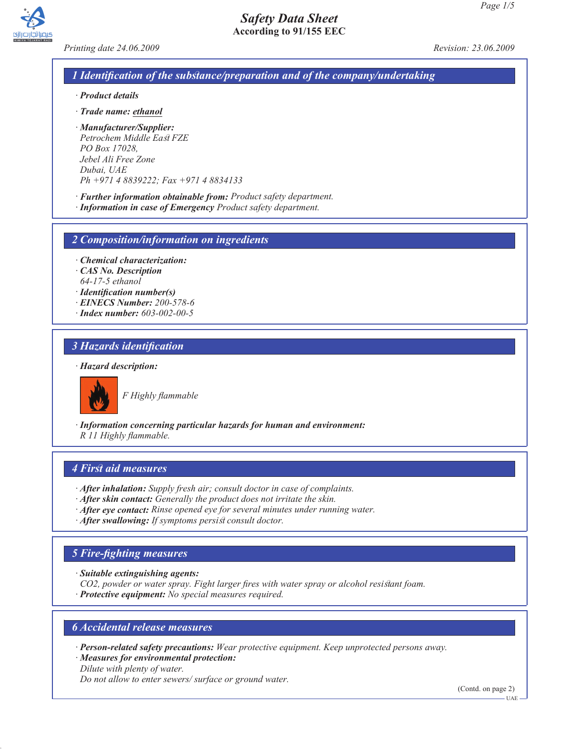*Printing date 24.06.2009 Revision: 23.06.2009*

### *1 Identification of the substance/preparation and of the company/undertaking*

- *· Product details*
- *· Trade name: ethanol*
- *· Manufacturer/Supplier: Petrochem Middle East FZE PO Box 17028, Jebel Ali Free Zone Dubai, UAE Ph +971 4 8839222; Fax +971 4 8834133*
- *· Further information obtainable from: Product safety department. · Information in case of Emergency Product safety department.*
- 

*2 Composition/information on ingredients*

- *· Chemical characterization:*
- *· CAS No. Description*
- *64-17-5 ethanol*
- *· Identification number(s)*
- *· EINECS Number: 200-578-6*
- *· Index number: 603-002-00-5*

### *3 Hazards identification*

#### *· Hazard description:*



*F Highly flammable*

*· Information concerning particular hazards for human and environment: R 11 Highly flammable.*

### *4 First aid measures*

- *· After inhalation: Supply fresh air; consult doctor in case of complaints.*
- *· After skin contact: Generally the product does not irritate the skin.*
- *· After eye contact: Rinse opened eye for several minutes under running water.*
- *· After swallowing: If symptoms persist consult doctor.*

#### *5 Fire-fighting measures*

*· Suitable extinguishing agents:*

*CO2, powder or water spray. Fight larger fires with water spray or alcohol resistant foam.*

*· Protective equipment: No special measures required.*

# *6 Accidental release measures*

- *· Person-related safety precautions: Wear protective equipment. Keep unprotected persons away.*
- *· Measures for environmental protection: Dilute with plenty of water.*

*Do not allow to enter sewers/ surface or ground water.*

(Contd. on page 2)

UAE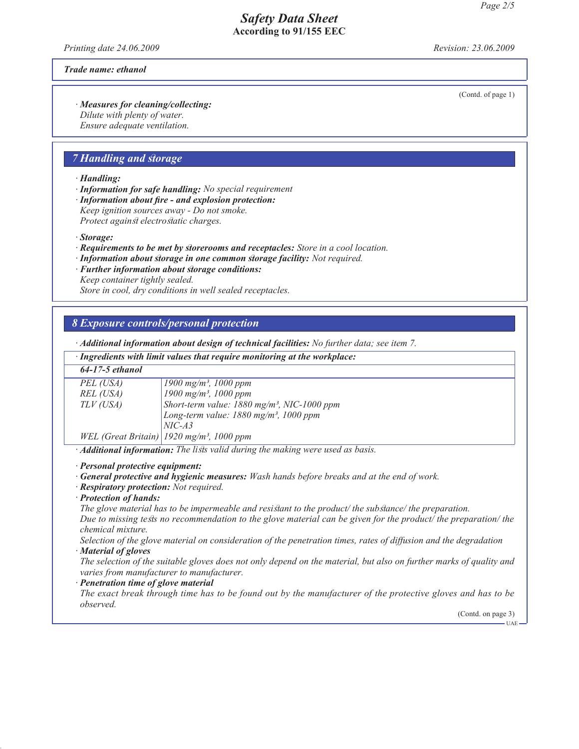*Printing date 24.06.2009 Revision: 23.06.2009*

*Trade name: ethanol*

(Contd. of page 1)

*· Measures for cleaning/collecting: Dilute with plenty of water. Ensure adequate ventilation.*

### *7 Handling and storage*

*· Handling:*

*· Information for safe handling: No special requirement*

*· Information about fire - and explosion protection: Keep ignition sources away - Do not smoke. Protect against electrostatic charges.*

*· Storage:*

*· Requirements to be met by storerooms and receptacles: Store in a cool location.*

- *· Information about storage in one common storage facility: Not required.*
- *· Further information about storage conditions: Keep container tightly sealed.*

*Store in cool, dry conditions in well sealed receptacles.*

#### *8 Exposure controls/personal protection*

*· Additional information about design of technical facilities: No further data; see item 7.*

| · Ingredients with limit values that require monitoring at the workplace: |  |  |  |
|---------------------------------------------------------------------------|--|--|--|
|---------------------------------------------------------------------------|--|--|--|

| 64-17-5 ethanol |                                                           |
|-----------------|-----------------------------------------------------------|
| PEL (USA)       | $1900 \text{ mg/m}^3$ , 1000 ppm                          |
| REL (USA)       | $1900$ mg/m <sup>3</sup> , 1000 ppm                       |
| TLV (USA)       | Short-term value: $1880$ mg/m <sup>3</sup> , NIC-1000 ppm |
|                 | Long-term value: 1880 mg/m <sup>3</sup> , 1000 ppm        |
|                 | $NIC-A3$                                                  |
|                 | WEL (Great Britain)   1920 mg/m <sup>3</sup> , 1000 ppm   |

*· Additional information: The lists valid during the making were used as basis.*

*· Personal protective equipment:*

*· General protective and hygienic measures: Wash hands before breaks and at the end of work.*

*· Respiratory protection: Not required.*

*· Protection of hands:*

*The glove material has to be impermeable and resistant to the product/ the substance/ the preparation.*

*Due to missing tests no recommendation to the glove material can be given for the product/ the preparation/ the chemical mixture.*

*Selection of the glove material on consideration of the penetration times, rates of diffusion and the degradation · Material of gloves*

*The selection of the suitable gloves does not only depend on the material, but also on further marks of quality and varies from manufacturer to manufacturer.*

*· Penetration time of glove material*

*The exact break through time has to be found out by the manufacturer of the protective gloves and has to be observed.*

(Contd. on page 3)

 $-UAE$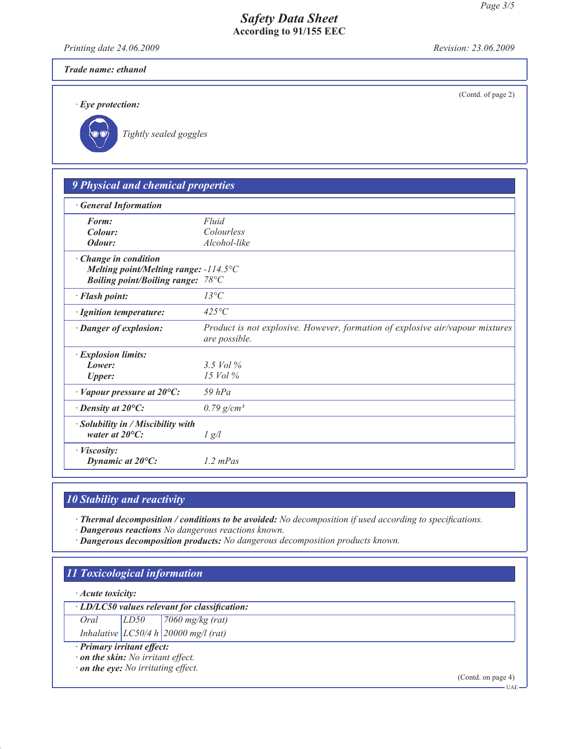*Printing date 24.06.2009 Revision: 23.06.2009*

(Contd. of page 2)

# *Trade name: ethanol*

*· Eye protection:*

*Tightly sealed goggles*

| <b>9 Physical and chemical properties</b>                                                                                  |                                                                                                |
|----------------------------------------------------------------------------------------------------------------------------|------------------------------------------------------------------------------------------------|
| <b>General Information</b>                                                                                                 |                                                                                                |
| Form:                                                                                                                      | Fluid                                                                                          |
| Colour:                                                                                                                    | Colourless                                                                                     |
| Odour:                                                                                                                     | Alcohol-like                                                                                   |
| $\cdot$ Change in condition<br>Melting point/Melting range: $-114.5^{\circ}$ C<br><b>Boiling point/Boiling range: 78°C</b> |                                                                                                |
| · Flash point:                                                                                                             | $13^{\circ}C$                                                                                  |
| · Ignition temperature:                                                                                                    | $425^{\circ}C$                                                                                 |
| · Danger of explosion:                                                                                                     | Product is not explosive. However, formation of explosive air/vapour mixtures<br>are possible. |
| · Explosion limits:                                                                                                        |                                                                                                |
| Lower:                                                                                                                     | 3.5 $Vol\%$                                                                                    |
| <b>Upper:</b>                                                                                                              | $15$ Vol $\%$                                                                                  |
| $\cdot$ Vapour pressure at 20 $\circ$ C:                                                                                   | $59$ $hPa$                                                                                     |
| $\cdot$ Density at 20 $\mathrm{^{\circ}C:}$                                                                                | $0.79$ g/cm <sup>3</sup>                                                                       |
| $\cdot$ Solubility in / Miscibility with<br>water at $20^{\circ}$ C:                                                       | $\frac{1}{g}$                                                                                  |
| $\cdot$ <i>Viscosity:</i><br>Dynamic at $20^{\circ}$ C:                                                                    | $1.2$ mPas                                                                                     |

# *10 Stability and reactivity*

*· Thermal decomposition / conditions to be avoided: No decomposition if used according to specifications.*

*· Dangerous reactions No dangerous reactions known.*

*· Dangerous decomposition products: No dangerous decomposition products known.*

# *11 Toxicological information*

*· Acute toxicity:*

*· LD/LC50 values relevant for classification:*

*Oral LD50 7060 mg/kg (rat) Inhalative LC50/4 h 20000 mg/l (rat)*

*· Primary irritant effect:*

*· on the skin: No irritant effect.*

*· on the eye: No irritating effect.*

(Contd. on page 4)

 $-UAE$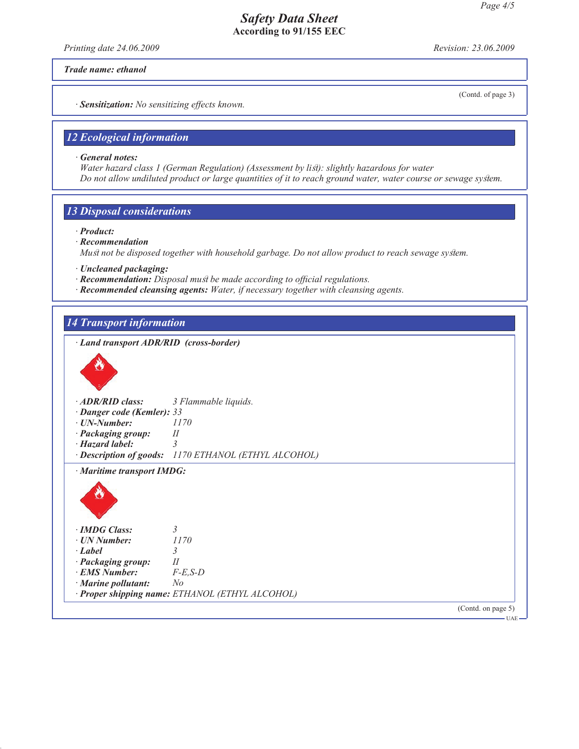*Printing date 24.06.2009 Revision: 23.06.2009*

*Trade name: ethanol*

(Contd. of page 3)

*· Sensitization: No sensitizing effects known.*

# *12 Ecological information*

*· General notes:*

*Water hazard class 1 (German Regulation) (Assessment by list): slightly hazardous for water Do not allow undiluted product or large quantities of it to reach ground water, water course or sewage system.*

# *13 Disposal considerations*

- *· Product:*
- *· Recommendation*

*Must not be disposed together with household garbage. Do not allow product to reach sewage system.*

- *· Uncleaned packaging:*
- *· Recommendation: Disposal must be made according to official regulations.*
- *· Recommended cleansing agents: Water, if necessary together with cleansing agents.*

### *14 Transport information*

| · Land transport ADR/RID (cross-border) |                                                      |  |
|-----------------------------------------|------------------------------------------------------|--|
|                                         |                                                      |  |
| · ADR/RID class:                        | 3 Flammable liquids.                                 |  |
| · Danger code (Kemler): 33              |                                                      |  |
| $\cdot$ UN-Number:                      | 1170                                                 |  |
| · Packaging group:                      | $I\!I$                                               |  |
| $\cdot$ Hazard label:                   | $\overline{3}$                                       |  |
|                                         | · Description of goods: 1170 ETHANOL (ETHYL ALCOHOL) |  |
| · Maritime transport IMDG:              |                                                      |  |
|                                         |                                                      |  |
| · <b>IMDG</b> Class:                    | $\mathcal{E}$                                        |  |
| $\cdot$ UN Number:                      | 1170                                                 |  |
| $\cdot$ Label                           | 3                                                    |  |
| · Packaging group:                      | II                                                   |  |
|                                         | $F-E$ , $S-D$                                        |  |
| <b>EMS Number:</b>                      |                                                      |  |
|                                         | N <sub>o</sub>                                       |  |
| · Marine pollutant:                     | · Proper shipping name: ETHANOL (ETHYL ALCOHOL)      |  |